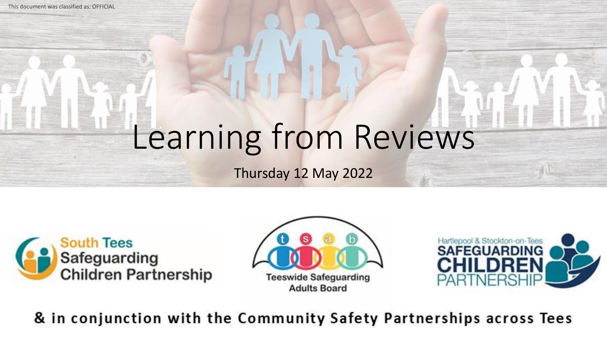This document was classified as: OFFICIAL

# Learning from Reviews

Thursday 12 May 2022







& in conjunction with the Community Safety Partnerships across Tees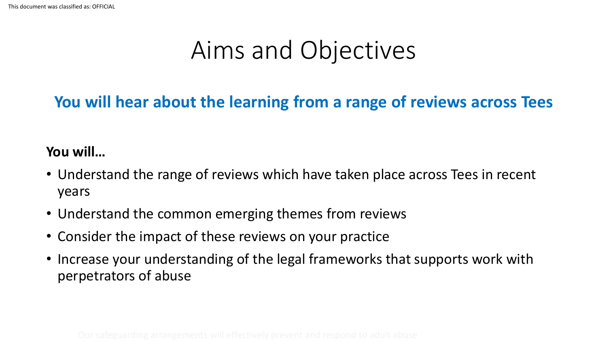### Aims and Objectives

### **You will hear about the learning from a range of reviews across Tees**

#### **You will…**

- Understand the range of reviews which have taken place across Tees in recent years
- Understand the common emerging themes from reviews
- Consider the impact of these reviews on your practice
- Increase your understanding of the legal frameworks that supports work with perpetrators of abuse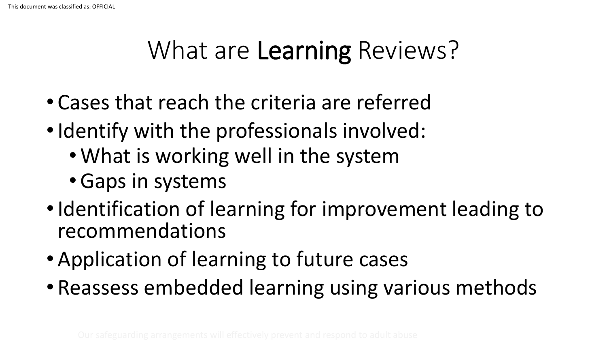## What are Learning Reviews?

- Cases that reach the criteria are referred
- Identify with the professionals involved:
	- What is working well in the system
	- •Gaps in systems
- Identification of learning for improvement leading to recommendations
- Application of learning to future cases
- Reassess embedded learning using various methods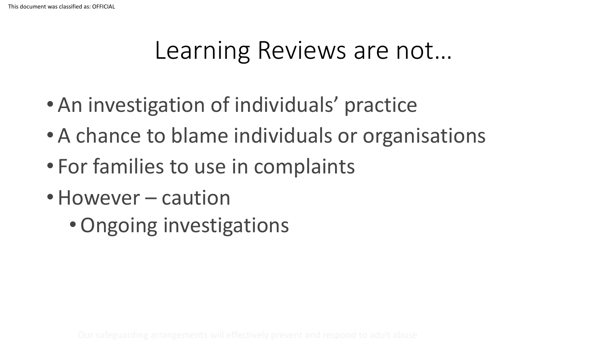### Learning Reviews are not…

- An investigation of individuals' practice
- A chance to blame individuals or organisations
- For families to use in complaints
- However caution
	- •Ongoing investigations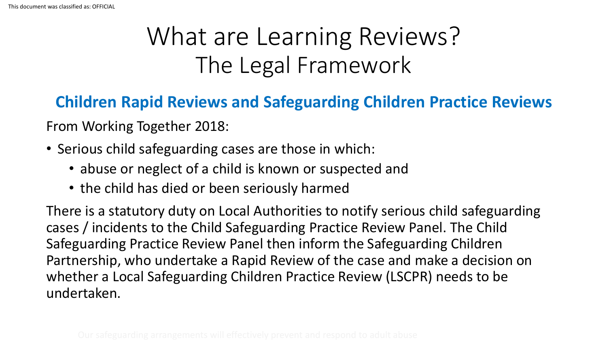### **Children Rapid Reviews and Safeguarding Children Practice Reviews**

From Working Together 2018:

- Serious child safeguarding cases are those in which:
	- abuse or neglect of a child is known or suspected and
	- the child has died or been seriously harmed

There is a statutory duty on Local Authorities to notify serious child safeguarding cases / incidents to the Child Safeguarding Practice Review Panel. The Child Safeguarding Practice Review Panel then inform the Safeguarding Children Partnership, who undertake a Rapid Review of the case and make a decision on whether a Local Safeguarding Children Practice Review (LSCPR) needs to be undertaken.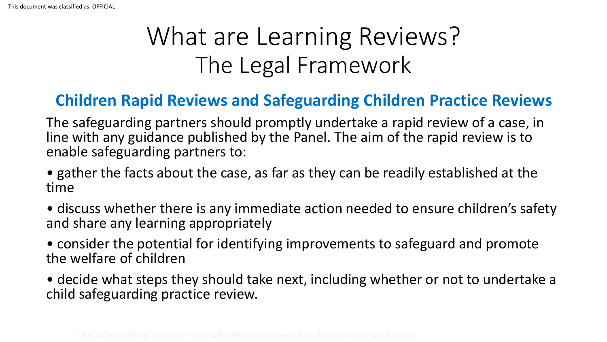#### **Children Rapid Reviews and Safeguarding Children Practice Reviews**

The safeguarding partners should promptly undertake a rapid review of a case, in line with any guidance published by the Panel. The aim of the rapid review is to enable safeguarding partners to:

- gather the facts about the case, as far as they can be readily established at the time
- discuss whether there is any immediate action needed to ensure children's safety and share any learning appropriately
- consider the potential for identifying improvements to safeguard and promote the welfare of children
- decide what steps they should take next, including whether or not to undertake a child safeguarding practice review.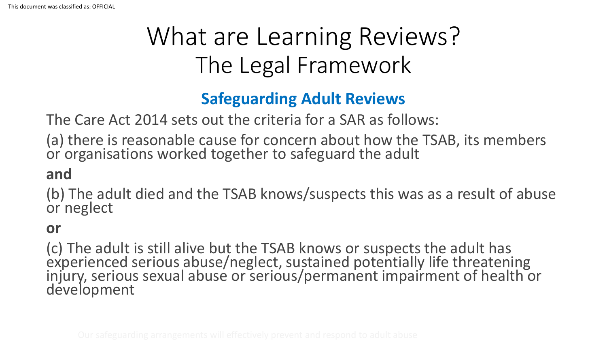### **Safeguarding Adult Reviews**

The Care Act 2014 sets out the criteria for a SAR as follows:

(a) there is reasonable cause for concern about how the TSAB, its members or organisations worked together to safeguard the adult

#### **and**

(b) The adult died and the TSAB knows/suspects this was as a result of abuse or neglect

#### **or**

(c) The adult is still alive but the TSAB knows or suspects the adult has experienced serious abuse/neglect, sustained potentially life threatening injury, serious sexual abuse or serious/permanent impairment of health or development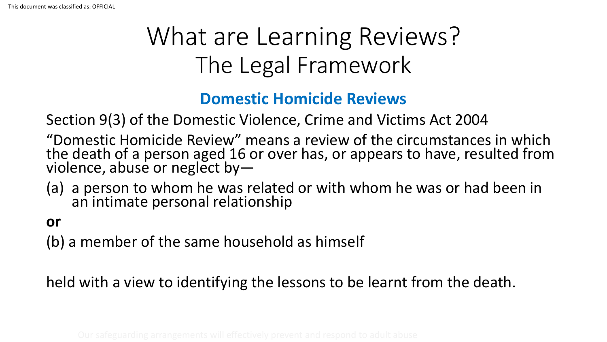### **Domestic Homicide Reviews**

Section 9(3) of the Domestic Violence, Crime and Victims Act 2004

"Domestic Homicide Review" means a review of the circumstances in which the death of a person aged 16 or over has, or appears to have, resulted from violence, abuse or neglect by-

(a) a person to whom he was related or with whom he was or had been in an intimate personal relationship

#### **or**

(b) a member of the same household as himself

held with a view to identifying the lessons to be learnt from the death.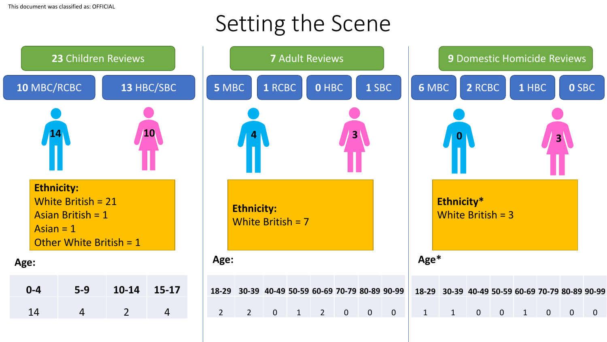### Setting the Scene

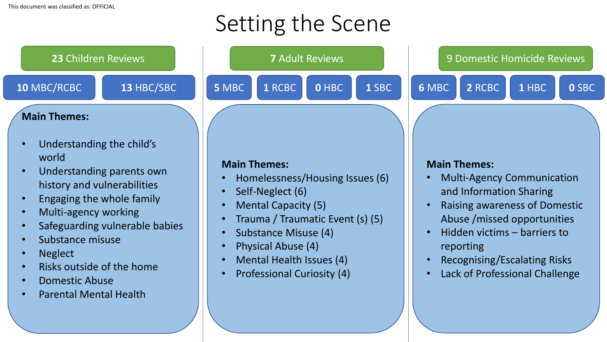## Setting the Scene





- Mental Health Issues (4)
- Professional Curiosity (4)

#### **Main Themes:**

- Multi-Agency Communication and Information Sharing
- Raising awareness of Domestic Abuse /missed opportunities
- Hidden victims barriers to reporting
- Recognising/Escalating Risks
- Lack of Professional Challenge